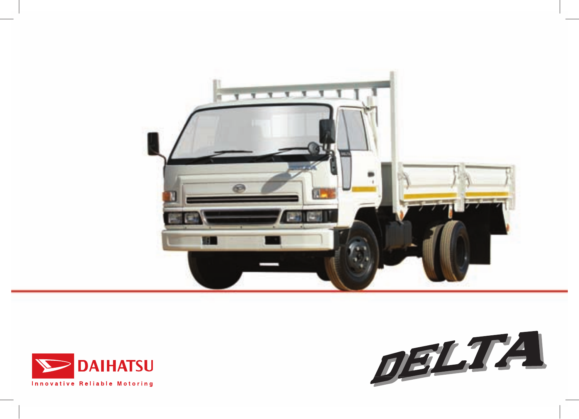



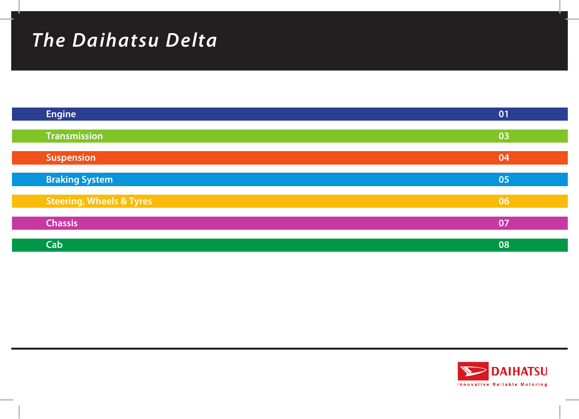# *The Daihatsu Delta*

| <b>Engine</b>                       | 01 |
|-------------------------------------|----|
| <b>Transmission</b>                 | 03 |
|                                     | 04 |
| <b>Suspension</b>                   |    |
| <b>Braking System</b>               | 05 |
| <b>Steering, Wheels &amp; Tyres</b> | 06 |
| <b>Chassis</b>                      | 07 |
| Cab                                 | 08 |

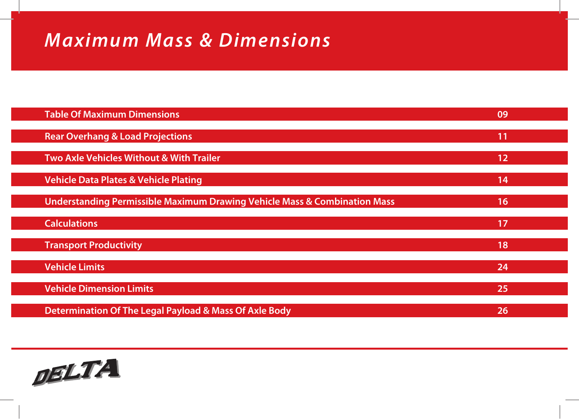# *Maximum Mass & Dimensions*

| <b>Table Of Maximum Dimensions</b>                                        | 09 |  |
|---------------------------------------------------------------------------|----|--|
| <b>Rear Overhang &amp; Load Projections</b>                               | 11 |  |
| Two Axle Vehicles Without & With Trailer                                  | 12 |  |
| <b>Vehicle Data Plates &amp; Vehicle Plating</b>                          | 14 |  |
| Understanding Permissible Maximum Drawing Vehicle Mass & Combination Mass | 16 |  |
| <b>Calculations</b>                                                       | 17 |  |
| <b>Transport Productivity</b>                                             | 18 |  |
| <b>Vehicle Limits</b>                                                     | 24 |  |
| <b>Vehicle Dimension Limits</b>                                           | 25 |  |
| Determination Of The Legal Payload & Mass Of Axle Body                    | 26 |  |

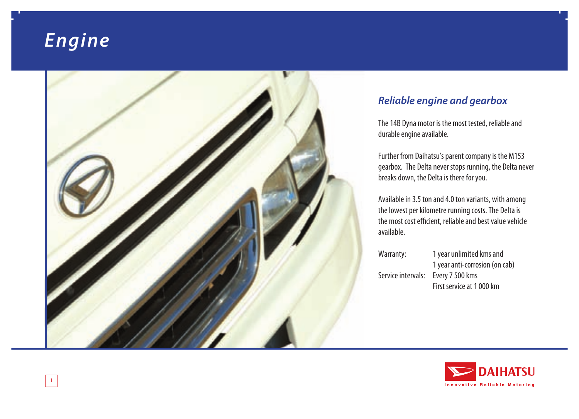# *Engine*



### *Reliable engine and gearbox*

The 14B Dyna motor is the most tested, reliable and durable engine available.

Further from Daihatsu's parent company is the M153 gearbox. The Delta never stops running, the Delta never breaks down, the Delta is there for you.

Available in 3.5 ton and 4.0 ton variants, with among the lowest per kilometre running costs. The Delta is the most cost efficient, reliable and best value vehicle available.

| Warranty:          | 1 year unlimited kms and       |
|--------------------|--------------------------------|
|                    | 1 year anti-corrosion (on cab) |
| Service intervals: | Every 7 500 kms                |
|                    | First service at 1000 km       |
|                    |                                |

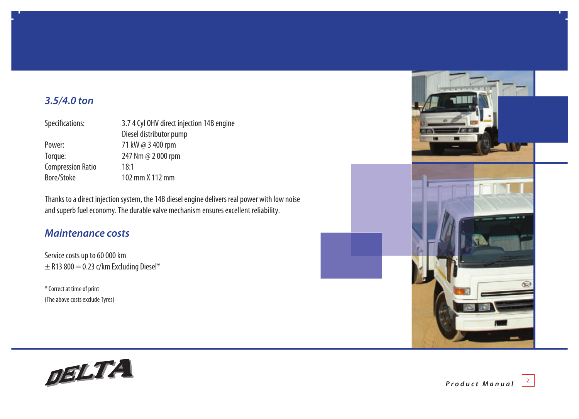### *3.5/4.0 ton*

| Specifications:          | 3.7 4 Cyl OHV direct injection 14B engine |  |
|--------------------------|-------------------------------------------|--|
|                          | Diesel distributor pump                   |  |
| Power:                   | 71 kW @ 3 400 rpm                         |  |
| Torque:                  | 247 Nm @ 2 000 rpm                        |  |
| <b>Compression Ratio</b> | 18:1                                      |  |
| Bore/Stoke               | 102 mm X 112 mm                           |  |

Thanks to a direct injection system, the 14B diesel engine delivers real power with low noise and superb fuel economy. The durable valve mechanism ensures excellent reliability.

#### *Maintenance costs*

Service costs up to 60 000 km  $\pm$  R13 800 = 0.23 c/km Excluding Diesel\*

\* Correct at time of print (The above costs exclude Tyres)



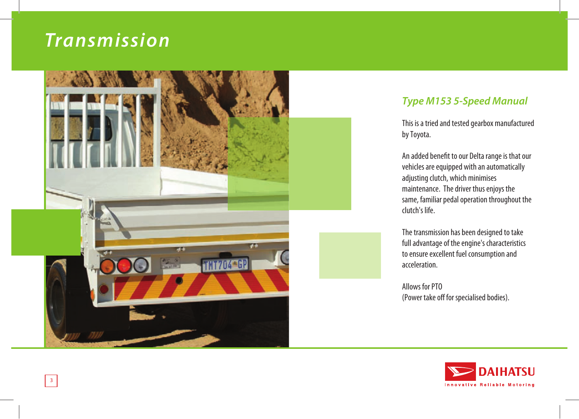### *Transmission*



### *Type M153 5-Speed Manual*

This is a tried and tested gearbox manufactured by Toyota.

An added benefit to our Delta range is that our vehicles are equipped with an automatically adjusting clutch, which minimises maintenance. The driver thus enjoys the same, familiar pedal operation throughout the clutch's life.

The transmission has been designed to take full advantage of the engine's characteristics to ensure excellent fuel consumption and acceleration.

Allows for PTO (Power take off for specialised bodies).

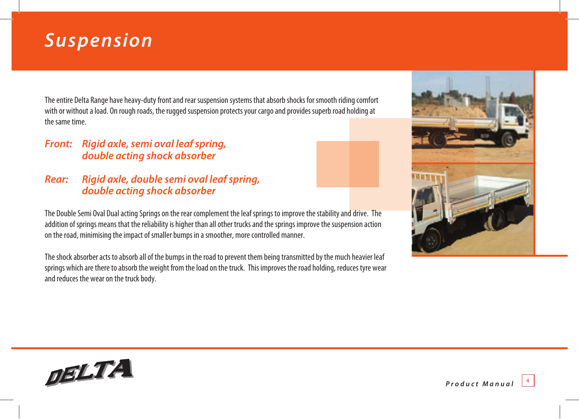# *Suspension*

The entire Delta Range have heavy-duty front and rear suspension systems that absorb shocks for smooth riding comfort with or without a load. On rough roads, the rugged suspension protects your cargo and provides superb road holding at the same time.

### *Front: Rigid axle, semi oval leaf spring, double acting shock absorber*

### *Rear: Rigid axle, double semi oval leaf spring, double acting shock absorber*

The Double Semi Oval Dual acting Springs on the rear complement the leaf springs to improve the stability and drive. The addition of springs means that the reliability is higher than all other trucks and the springs improve the suspension action on the road, minimising the impact of smaller bumps in a smoother, more controlled manner.

The shock absorber acts to absorb all of the bumps in the road to prevent them being transmitted by the much heavier leaf springs which are there to absorb the weight from the load on the truck. This improves the road holding, reduces tyre wear and reduces the wear on the truck body.





*Product Manual* <sup>4</sup>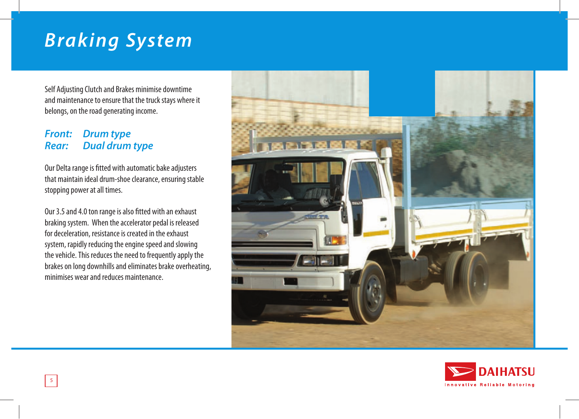# *Braking System*

Self Adjusting Clutch and Brakes minimise downtime and maintenance to ensure that the truck stays where it belongs, on the road generating income.

#### *Front: Drum type Rear: Dual drum type*

Our Delta range is fitted with automatic bake adjusters that maintain ideal drum-shoe clearance, ensuring stable stopping power at all times.

Our 3.5 and 4.0 ton range is also fitted with an exhaust braking system. When the accelerator pedal is released for deceleration, resistance is created in the exhaust system, rapidly reducing the engine speed and slowing the vehicle. This reduces the need to frequently apply the brakes on long downhills and eliminates brake overheating, minimises wear and reduces maintenance.



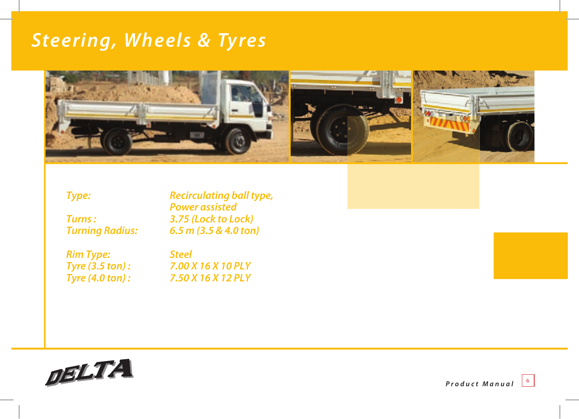### *Steering, Wheels & Tyres*



*Type: Recirculating ball type, Power assisted*<br> *Rurns*:  *3.75 (Lock to Lo Turns : 3.75 (Lock to Lock) Turning Radius: 6.5 m (3.5 & 4.0 ton)*

*Rim Type: Steel*

*Tyre (3.5 ton) : 7.00 X 16 X 10 PLY Tyre (4.0 ton) : 7.50 X 16 X 12 PLY*



*Product Manual*  $\begin{bmatrix} 6 \end{bmatrix}$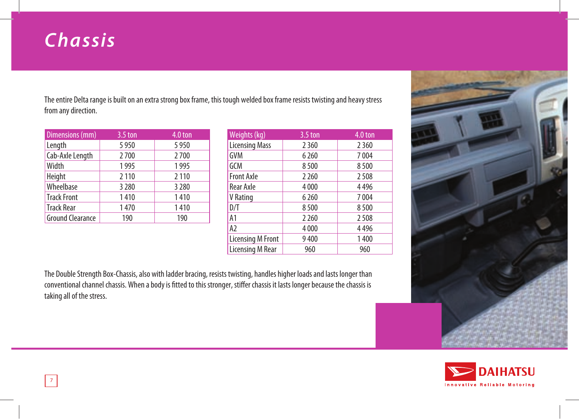# *Chassis*

The entire Delta range is built on an extra strong box frame, this tough welded box frame resists twisting and heavy stress from any direction.

| Dimensions (mm)         | $3.5$ ton | 4.0 ton |
|-------------------------|-----------|---------|
| Length                  | 5950      | 5950    |
| Cab-Axle Length         | 2700      | 2700    |
| Width                   | 1995      | 1995    |
| Height                  | 2 1 1 0   | 2 1 1 0 |
| Wheelbase               | 3 2 8 0   | 3 2 8 0 |
| <b>Track Front</b>      | 1410      | 1410    |
| <b>Track Rear</b>       | 1470      | 1410    |
| <b>Ground Clearance</b> | 190       | 190     |

| Weights (kg)          | $3.5$ ton | 4.0 ton |
|-----------------------|-----------|---------|
| <b>Licensing Mass</b> | 2360      | 2360    |
| GVM                   | 6 2 6 0   | 7004    |
| GCM                   | 8500      | 8500    |
| <b>Front Axle</b>     | 2 2 6 0   | 2508    |
| Rear Axle             | 4000      | 4496    |
| V Rating              | 6260      | 7004    |
| D/T                   | 8500      | 8500    |
| A1                    | 2 2 6 0   | 2508    |
| A <sub>2</sub>        | 4000      | 4496    |
| Licensing M Front     | 9400      | 1400    |
| Licensing M Rear      | 960       | 960     |

The Double Strength Box-Chassis, also with ladder bracing, resists twisting, handles higher loads and lasts longer than conventional channel chassis. When a body is fitted to this stronger, stiffer chassis it lasts longer because the chassis is taking all of the stress.



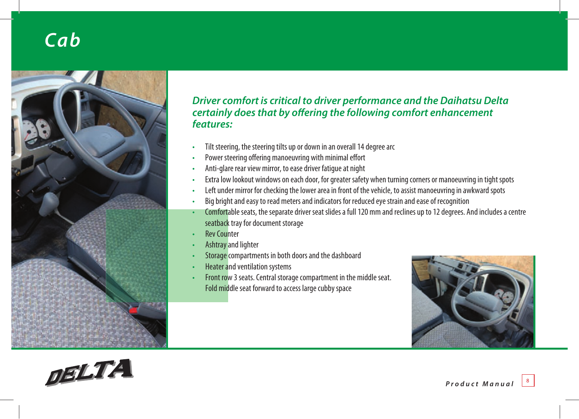# *Cab*



### *Driver comfort is critical to driver performance and the Daihatsu Delta certainly does that by offering the following comfort enhancement features:*

- Tilt steering, the steering tilts up or down in an overall 14 degree arc
- Power steering offering manoeuvring with minimal effort
- Anti-glare rear view mirror, to ease driver fatigue at night
- Extra low lookout windows on each door, for greater safety when turning corners or manoeuvring in tight spots
- Left under mirror for checking the lower area in front of the vehicle, to assist manoeuvring in awkward spots
- Big bright and easy to read meters and indicators for reduced eye strain and ease of recognition
- Comfortable seats, the separate driver seat slides a full 120 mm and reclines up to 12 degrees. And includes a centre seatback tray for document storage
- **Rev Counter**
- Ashtray and lighter
- Storage compartments in both doors and the dashboard
- Heater and ventilation systems
- Front row 3 seats. Central storage compartment in the middle seat. Fold middle seat forward to access large cubby space



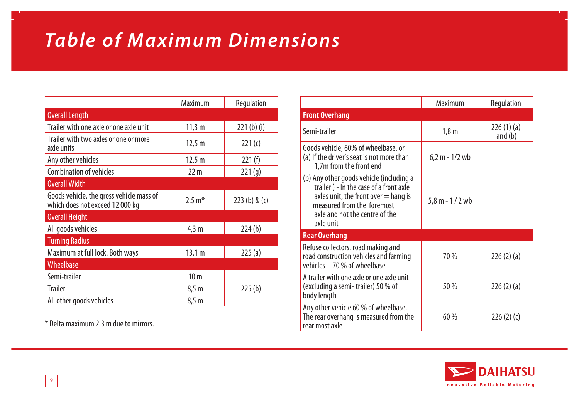# *Table of Maximum Dimensions*

|                                                                             | Maximum         | Regulation   |
|-----------------------------------------------------------------------------|-----------------|--------------|
| <b>Overall Length</b>                                                       |                 |              |
| Trailer with one axle or one axle unit                                      | 11,3 m          | $221(b)$ (i) |
| Trailer with two axles or one or more<br>axle units                         | 12,5 m          | 221(c)       |
| Any other vehicles                                                          | 12,5 m          | 221(f)       |
| <b>Combination of vehicles</b>                                              | 22 <sub>m</sub> | 221(g)       |
| <b>Overall Width</b>                                                        |                 |              |
| Goods vehicle, the gross vehicle mass of<br>which does not exceed 12 000 kg | $2,5 m*$        | 223(b) & (c) |
| <b>Overall Height</b>                                                       |                 |              |
| All goods vehicles                                                          | $4,3 \text{ m}$ | 224(b)       |
| <b>Turning Radius</b>                                                       |                 |              |
| Maximum at full lock. Both ways                                             | 13,1 m          | 225(a)       |
| Wheelbase                                                                   |                 |              |
| Semi-trailer                                                                | 10 <sub>m</sub> |              |
| <b>Trailer</b>                                                              | 8,5 m           | 225(b)       |
| All other goods vehicles                                                    | 8,5 m           |              |

\* Delta maximum 2.3 m due to mirrors.

|                                                                                                                                                                                                           | Maximum          | Regulation             |
|-----------------------------------------------------------------------------------------------------------------------------------------------------------------------------------------------------------|------------------|------------------------|
| <b>Front Overhang</b>                                                                                                                                                                                     |                  |                        |
| Semi-trailer                                                                                                                                                                                              | 1,8 <sub>m</sub> | 226(1)(a)<br>and $(b)$ |
| Goods vehicle, 60% of wheelbase, or<br>(a) If the driver's seat is not more than<br>1,7m from the front end                                                                                               | $6,2 m - 1/2$ wb |                        |
| (b) Any other goods vehicle (including a<br>trailer) - In the case of a front axle<br>axles unit, the front over $=$ hang is<br>measured from the foremost<br>axle and not the centre of the<br>axle unit | 5,8 m - 1 / 2 wb |                        |
| <b>Rear Overhang</b>                                                                                                                                                                                      |                  |                        |
| Refuse collectors, road making and<br>road construction vehicles and farming<br>vehicles - 70 % of wheelbase                                                                                              | 70 %             | 226(2)(a)              |
| A trailer with one axle or one axle unit<br>(excluding a semi-trailer) 50 % of<br>body length                                                                                                             | 50 %             | 226(2)(a)              |
| Any other vehicle 60 % of wheelbase.<br>The rear overhang is measured from the<br>rear most axle                                                                                                          | 60%              | 226(2)(c)              |

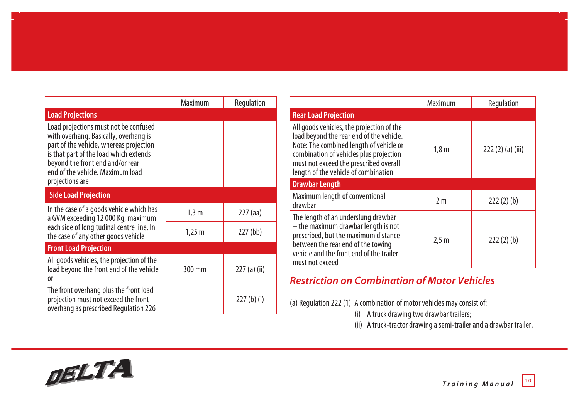|                                                                                                                                                                                                                                                                | Maximum     | Regulation   |
|----------------------------------------------------------------------------------------------------------------------------------------------------------------------------------------------------------------------------------------------------------------|-------------|--------------|
| <b>Load Projections</b>                                                                                                                                                                                                                                        |             |              |
| Load projections must not be confused<br>with overhang. Basically, overhang is<br>part of the vehicle, whereas projection<br>is that part of the load which extends<br>beyond the front end and/or rear<br>end of the vehicle. Maximum load<br>projections are |             |              |
| <b>Side Load Projection</b>                                                                                                                                                                                                                                    |             |              |
| In the case of a goods vehicle which has<br>a GVM exceeding 12 000 Kg, maximum                                                                                                                                                                                 | 1,3m        | $227$ (aa)   |
| each side of longitudinal centre line. In<br>the case of any other goods vehicle                                                                                                                                                                               | $1,25 \; m$ | $227$ (bb)   |
| <b>Front Load Projection</b>                                                                                                                                                                                                                                   |             |              |
| All goods vehicles, the projection of the<br>load beyond the front end of the vehicle<br><sub>0r</sub>                                                                                                                                                         | 300 mm      | 227 (a) (ii) |
| The front overhang plus the front load<br>projection must not exceed the front<br>overhang as prescribed Regulation 226                                                                                                                                        |             | $227(b)$ (i) |

|                                                                                                                                                                                                                                                               | Maximum          | Regulation     |
|---------------------------------------------------------------------------------------------------------------------------------------------------------------------------------------------------------------------------------------------------------------|------------------|----------------|
| <b>Rear Load Projection</b>                                                                                                                                                                                                                                   |                  |                |
| All goods vehicles, the projection of the<br>load beyond the rear end of the vehicle.<br>Note: The combined length of vehicle or<br>combination of vehicles plus projection<br>must not exceed the prescribed overall<br>length of the vehicle of combination | 1,8m             | 222(2)(a)(iii) |
| <b>Drawbar Length</b>                                                                                                                                                                                                                                         |                  |                |
| Maximum length of conventional<br>drawbar                                                                                                                                                                                                                     | 2 <sub>m</sub>   | 222(2)(b)      |
| The length of an underslung drawbar<br>- the maximum drawbar length is not<br>prescribed, but the maximum distance<br>between the rear end of the towing<br>vehicle and the front end of the trailer<br>must not exceed                                       | 2.5 <sub>m</sub> | 222(2)(b)      |

### *Restriction on Combination of Motor Vehicles*

(a) Regulation 222 (1) A combination of motor vehicles may consist of:

- (i) A truck drawing two drawbar trailers;
- (ii) A truck-tractor drawing a semi-trailer and a drawbar trailer.

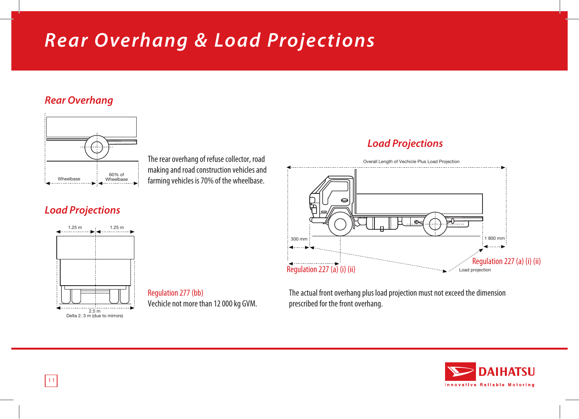# *Rear Overhang & Load Projections*

### *Rear Overhang*



The rear overhang of refuse collector, road making and road construction vehicles and Framing and reduced the wheelbase.

### *Load Projections*



Regulation 277 (bb) Vechicle not more than 12 000 kg GVM.

### *Load Projections*



The actual front overhang plus load projection must not exceed the dimension prescribed for the front overhang.

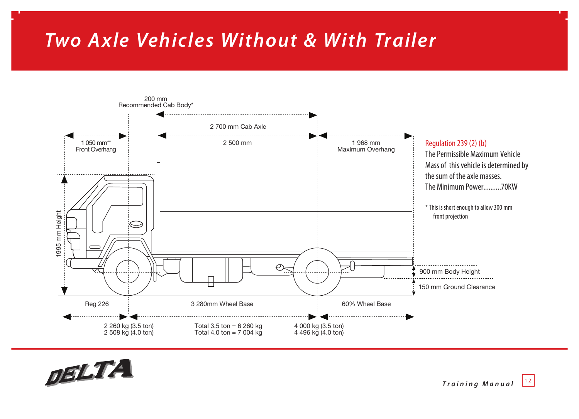# *Two A xle Vehicles Without & With Trailer*



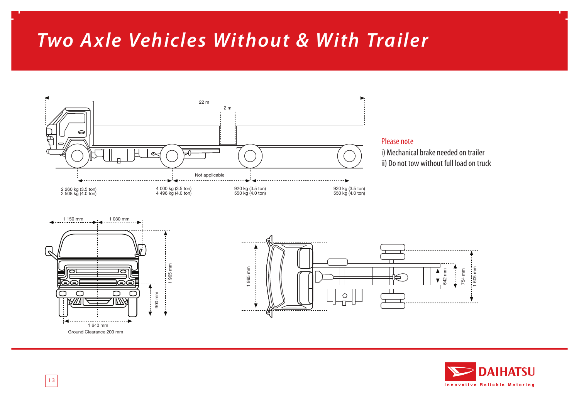# *Two A xle Vehicles Without & With Trailer*



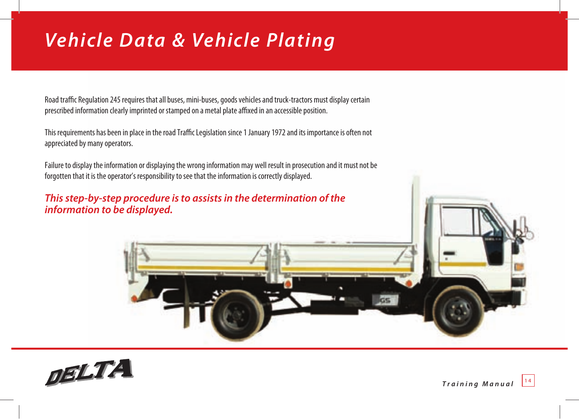# *Vehicle Data & Vehicle Plating*

Road traffic Regulation 245 requires that all buses, mini-buses, goods vehicles and truck-tractors must display certain prescribed information clearly imprinted or stamped on a metal plate affixed in an accessible position.

This requirements has been in place in the road Traffic Legislation since 1 January 1972 and its importance is often not appreciated by many operators.

Failure to display the information or displaying the wrong information may well result in prosecution and it must not be forgotten that it is the operator's responsibility to see that the information is correctly displayed.

*This step-by-step procedure is to assists in the determination of the information to be displayed.*



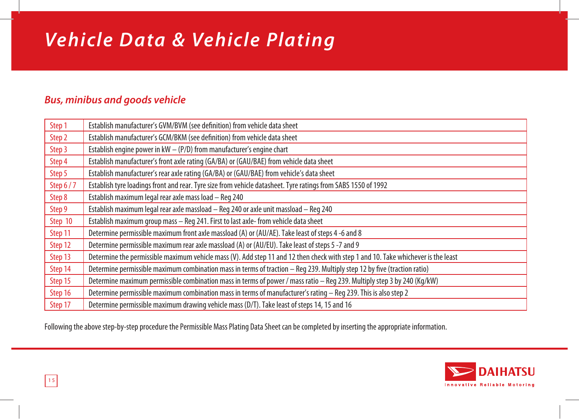# *Vehicle Data & Vehicle Plating*

### *Bus, minibus and goods vehicle*

| Step 1          | Establish manufacturer's GVM/BVM (see definition) from vehicle data sheet                                                         |
|-----------------|-----------------------------------------------------------------------------------------------------------------------------------|
| Step 2          | Establish manufacturer's GCM/BKM (see definition) from vehicle data sheet                                                         |
| Step 3          | Establish engine power in $kW - (P/D)$ from manufacturer's engine chart                                                           |
| Step 4          | Establish manufacturer's front axle rating (GA/BA) or (GAU/BAE) from vehicle data sheet                                           |
| Step 5          | Establish manufacturer's rear axle rating (GA/BA) or (GAU/BAE) from vehicle's data sheet                                          |
| <b>Step 6/7</b> | Establish tyre loadings front and rear. Tyre size from vehicle datasheet. Tyre ratings from SABS 1550 of 1992                     |
| Step 8          | Establish maximum legal rear axle mass load - Reg 240                                                                             |
| Step 9          | Establish maximum legal rear axle massload - Reg 240 or axle unit massload - Reg 240                                              |
| Step 10         | Establish maximum group mass - Reg 241. First to last axle- from vehicle data sheet                                               |
| Step 11         | Determine permissible maximum front axle massload (A) or (AU/AE). Take least of steps 4 -6 and 8                                  |
| Step 12         | Determine permissible maximum rear axle massload (A) or (AU/EU). Take least of steps 5 -7 and 9                                   |
| Step 13         | Determine the permissible maximum vehicle mass (V). Add step 11 and 12 then check with step 1 and 10. Take whichever is the least |
| Step 14         | Determine permissible maximum combination mass in terms of traction - Reg 239. Multiply step 12 by five (traction ratio)          |
| Step 15         | Determine maximum permissible combination mass in terms of power / mass ratio - Req 239. Multiply step 3 by 240 (Kq/kW)           |
| Step 16         | Determine permissible maximum combination mass in terms of manufacturer's rating - Req 239. This is also step 2                   |
| Step 17         | Determine permissible maximum drawing vehicle mass (D/T). Take least of steps 14, 15 and 16                                       |

Following the above step-by-step procedure the Permissible Mass Plating Data Sheet can be completed by inserting the appropriate information.

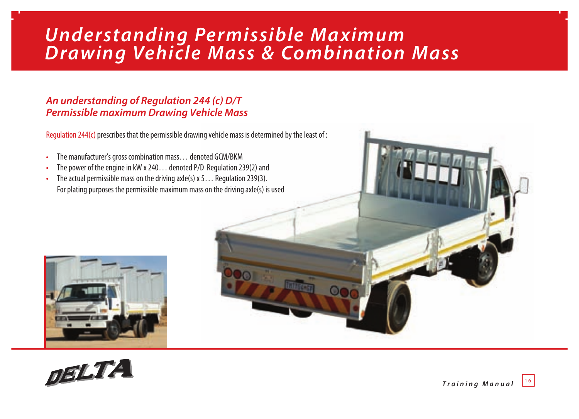### *Understanding Permissible Maximum Drawing Vehicle Mass & Combination Mass*

### *An understanding of Regulation 244 (c) D/T Permissible maximum Drawing Vehicle Mass*

Regulation 244(c) prescribes that the permissible drawing vehicle mass is determined by the least of :

- The manufacturer's gross combination mass… denoted GCM/BKM
- The power of the engine in kW x 240… denoted P/D Regulation 239(2) and
- The actual permissible mass on the driving axle(s)  $x$  5... Regulation 239(3). For plating purposes the permissible maximum mass on the driving axle(s) is used





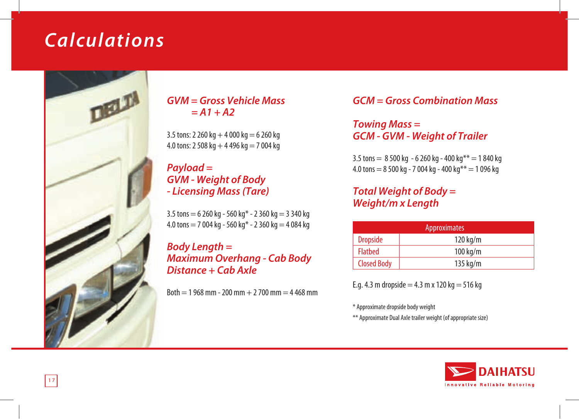# *Calculations*



#### *GVM = Gross Vehicle Mass = A1 + A2*

3.5 tons: 2 260 kg  $+$  4 000 kg  $=$  6 260 kg 4.0 tons: 2 508 kg  $+$  4 496 kg  $=$  7 004 kg

#### *Payload = GVM - Weight of Body - Licensing Mass (Tare)*

 $3.5$  tons  $= 6260$  kg - 560 kg\* - 2 360 kg  $= 3340$  kg 4.0 tons  $= 7004$  kg - 560 kg\* - 2 360 kg  $= 4084$  kg

#### *Body Length = Maximum Overhang - Cab Body Distance + Cab Axle*

 $Both = 1,968$  mm  $- 200$  mm  $+ 2,700$  mm  $= 4,468$  mm

*GCM = Gross Combination Mass*

*Towing Mass = GCM - GVM - Weight of Trailer*

 $3.5$  tons  $= 8500$  kg  $- 6260$  kg  $- 400$  kg $** = 1840$  kg 4.0 tons =  $8\,500$  kg -  $7\,004$  kg -  $400$  kg\*\* =  $1\,096$  kg

### *Total Weight of Body = Weight/m x Length*

| Approximates       |                    |
|--------------------|--------------------|
| <b>Dropside</b>    | $120 \text{ kg/m}$ |
| <b>Flatbed</b>     | $100 \text{ kg/m}$ |
| <b>Closed Body</b> | 135 $kg/m$         |

E.g. 4.3 m dropside  $= 4.3$  m x 120 kg  $= 516$  kg

\* Approximate dropside body weight

\*\* Approximate Dual Axle trailer weight (of appropriate size)

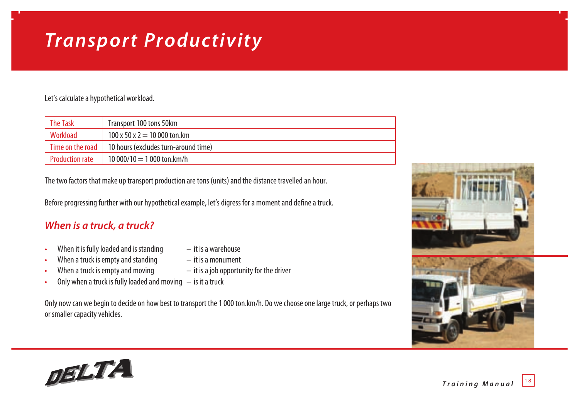# *Transport Productivity*

Let's calculate a hypothetical workload.

| <b>The Task</b>        | Transport 100 tons 50km                 |
|------------------------|-----------------------------------------|
| Workload               | $100 \times 50 \times 2 = 10000$ ton.km |
| Time on the road       | 10 hours (excludes turn-around time)    |
| <b>Production rate</b> | 10 000/10 = 1 000 ton.km/h              |

The two factors that make up transport production are tons (units) and the distance travelled an hour.

Before progressing further with our hypothetical example, let's digress for a moment and define a truck.

### *When is a truck, a truck?*

- When it is fully loaded and is standing  $-$  it is a warehouse
- When a truck is empty and standing  $-$  it is a monument
- When a truck is empty and moving  $-$  it is a job opportunity for the driver
- Only when a truck is fully loaded and moving  $-$  is it a truck

Only now can we begin to decide on how best to transport the 1 000 ton.km/h. Do we choose one large truck, or perhaps two or smaller capacity vehicles.

- 
- 
- 



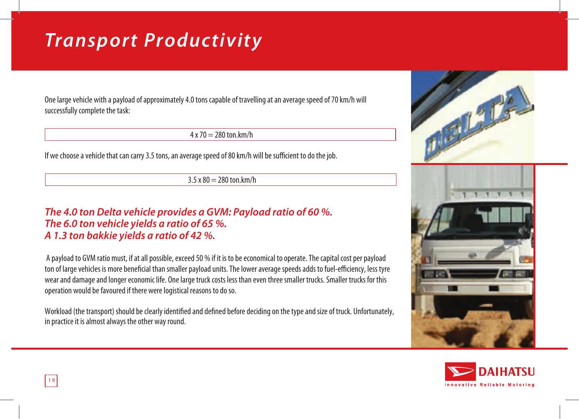# *Transport Productivity*

One large vehicle with a payload of approximately 4.0 tons capable of travelling at an average speed of 70 km/h will successfully complete the task:

 $4 \times 70 = 280$  ton km/h

If we choose a vehicle that can carry 3.5 tons, an average speed of 80 km/h will be sufficient to do the job.

 $3.5 \times 80 = 280 \text{ ton}$ .km/h

#### *The 4.0 ton Delta vehicle provides a GVM: Payload ratio of 60 %. The 6.0 ton vehicle yields a ratio of 65 %. A 1.3 ton bakkie yields a ratio of 42 %.*

 A payload to GVM ratio must, if at all possible, exceed 50 % if it is to be economical to operate. The capital cost per payload ton of large vehicles is more beneficial than smaller payload units. The lower average speeds adds to fuel-efficiency, less tyre wear and damage and longer economic life. One large truck costs less than even three smaller trucks. Smaller trucks for this operation would be favoured if there were logistical reasons to do so.

Workload (the transport) should be clearly identified and defined before deciding on the type and size of truck. Unfortunately, in practice it is almost always the other way round.





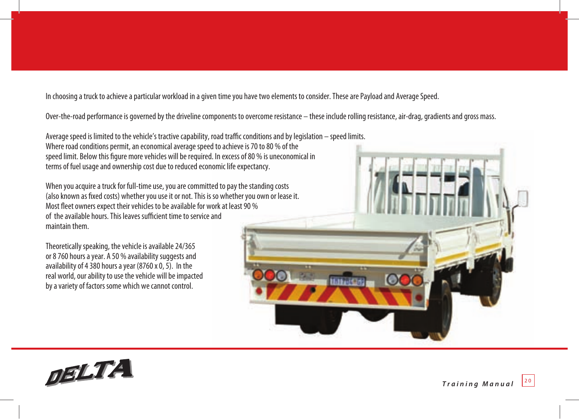In choosing a truck to achieve a particular workload in a given time you have two elements to consider. These are Payload and Average Speed.

Over-the-road performance is governed by the driveline components to overcome resistance – these include rolling resistance, air-drag, gradients and gross mass.

Average speed is limited to the vehicle's tractive capability, road traffic conditions and by legislation – speed limits. Where road conditions permit, an economical average speed to achieve is 70 to 80 % of the speed limit. Below this figure more vehicles will be required. In excess of 80 % is uneconomical in terms of fuel usage and ownership cost due to reduced economic life expectancy.

When you acquire a truck for full-time use, you are committed to pay the standing costs (also known as fixed costs) whether you use it or not. This is so whether you own or lease it. Most fleet owners expect their vehicles to be available for work at least 90 % of the available hours. This leaves sufficient time to service and maintain them.

Theoretically speaking, the vehicle is available 24/365 or 8 760 hours a year. A 50 % availability suggests and availability of 4 380 hours a year (8760 x 0, 5). In the real world, our ability to use the vehicle will be impacted by a variety of factors some which we cannot control.



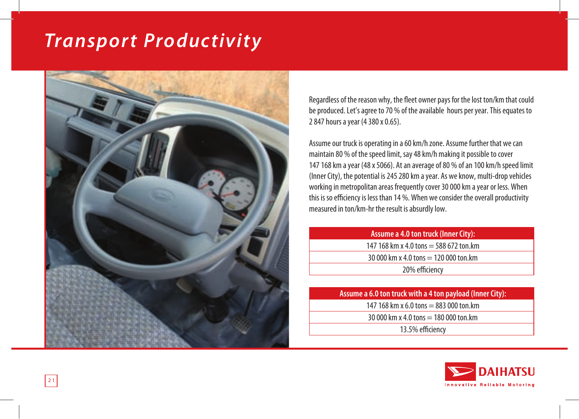# *Transport Productivity*



Regardless of the reason why, the fleet owner pays for the lost ton/km that could be produced. Let's agree to 70 % of the available hours per year. This equates to 2 847 hours a year (4 380 x 0.65).

Assume our truck is operating in a 60 km/h zone. Assume further that we can maintain 80 % of the speed limit, say 48 km/h making it possible to cover 147 168 km a year (48 x 5066). At an average of 80 % of an 100 km/h speed limit (Inner City), the potential is 245 280 km a year. As we know, multi-drop vehicles working in metropolitan areas frequently cover 30 000 km a year or less. When this is so efficiency is less than 14 %. When we consider the overall productivity measured in ton/km-hr the result is absurdly low.

| Assume a 4.0 ton truck (Inner City):    |
|-----------------------------------------|
| 147 168 km x 4.0 tons = 588 672 ton.km  |
| 30 000 km x 4.0 tons $=$ 120 000 ton.km |
| 20% efficiency                          |

| Assume a 6.0 ton truck with a 4 ton payload (Inner City): |  |
|-----------------------------------------------------------|--|
| 147 168 km x 6.0 tons $= 883 000$ ton.km                  |  |
| 30 000 km x 4.0 tons $=$ 180 000 ton.km                   |  |
| 13.5% efficiency                                          |  |

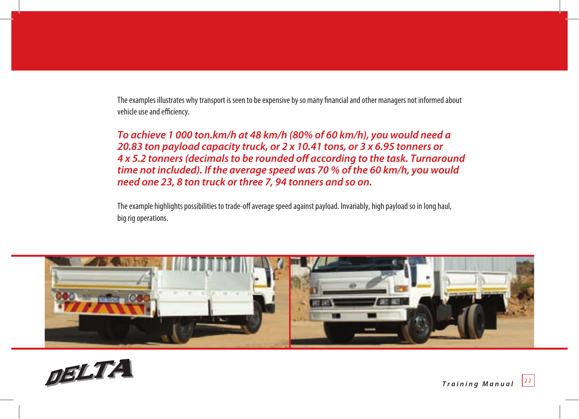The examples illustrates why transport is seen to be expensive by so many financial and other managers not informed about vehicle use and efficiency.

*To achieve 1 000 ton.km/h at 48 km/h (80% of 60 km/h), you would need a 20.83 ton payload capacity truck, or 2 x 10.41 tons, or 3 x 6.95 tonners or 4 x 5.2 tonners (decimals to be rounded off according to the task. Turnaround time not included). If the average speed was 70 % of the 60 km/h, you would need one 23, 8 ton truck or three 7, 94 tonners and so on.*

The example highlights possibilities to trade-off average speed against payload. Invariably, high payload so in long haul, big rig operations.



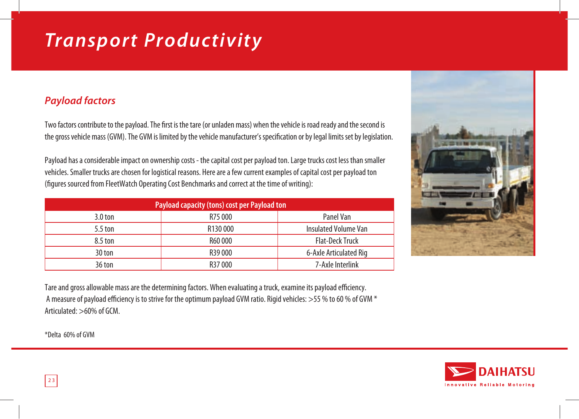# *Transport Productivity*

### *Payload factors*

Two factors contribute to the payload. The first is the tare (or unladen mass) when the vehicle is road ready and the second is the gross vehicle mass (GVM). The GVM is limited by the vehicle manufacturer's specification or by legal limits set by legislation.

Payload has a considerable impact on ownership costs - the capital cost per payload ton. Large trucks cost less than smaller vehicles. Smaller trucks are chosen for logistical reasons. Here are a few current examples of capital cost per payload ton (figures sourced from FleetWatch Operating Cost Benchmarks and correct at the time of writing):

| Payload capacity (tons) cost per Payload ton |         |                             |  |  |
|----------------------------------------------|---------|-----------------------------|--|--|
| $3.0 \text{ ton}$                            | R75 000 | Panel Van                   |  |  |
| $5.5$ ton                                    | R130000 | <b>Insulated Volume Van</b> |  |  |
| 8.5 ton                                      | R60000  | <b>Flat-Deck Truck</b>      |  |  |
| 30 ton                                       | R39000  | 6-Axle Articulated Rig      |  |  |
| 36 ton                                       | R37000  | 7-Axle Interlink            |  |  |



Tare and gross allowable mass are the determining factors. When evaluating a truck, examine its payload efficiency. A measure of payload efficiency is to strive for the optimum payload GVM ratio. Rigid vehicles:  $>55$  % to 60 % of GVM  $*$ Articulated:  $>60\%$  of GCM

\*Delta 60% of GVM

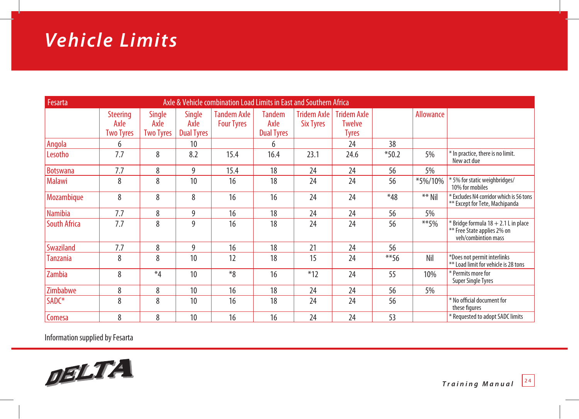# *Vehicle Limits*

| Axle & Vehicle combination Load Limits in East and Southern Africa<br>Fesarta |                                             |                                    |                                            |                                         |                                            |                                        |                                                     |          |           |                                                                                                |
|-------------------------------------------------------------------------------|---------------------------------------------|------------------------------------|--------------------------------------------|-----------------------------------------|--------------------------------------------|----------------------------------------|-----------------------------------------------------|----------|-----------|------------------------------------------------------------------------------------------------|
|                                                                               | <b>Steering</b><br>Axle<br><b>Two Tyres</b> | Single<br>Axle<br><b>Two Tyres</b> | <b>Single</b><br>Axle<br><b>Dual Tyres</b> | <b>Tandem Axle</b><br><b>Four Tyres</b> | <b>Tandem</b><br>Axle<br><b>Dual Tyres</b> | <b>Tridem Axle</b><br><b>Six Tyres</b> | <b>Tridem Axle</b><br><b>Twelve</b><br><b>Tyres</b> |          | Allowance |                                                                                                |
| Angola                                                                        | 6                                           |                                    | 10                                         |                                         | 6                                          |                                        | 24                                                  | 38       |           |                                                                                                |
| Lesotho                                                                       | 7.7                                         | 8                                  | 8.2                                        | 15.4                                    | 16.4                                       | 23.1                                   | 24.6                                                | $*50.2$  | 5%        | * In practice, there is no limit.<br>New act due                                               |
| <b>Botswana</b>                                                               | 7.7                                         | 8                                  | 9                                          | 15.4                                    | 18                                         | 24                                     | 24                                                  | 56       | 5%        |                                                                                                |
| <b>Malawi</b>                                                                 | 8                                           | 8                                  | 10                                         | 16                                      | 18                                         | 24                                     | 24                                                  | 56       | *5%/10%   | *5% for static weighbridges/<br>10% for mobiles                                                |
| Mozambique                                                                    | 8                                           | 8                                  | 8                                          | 16                                      | 16                                         | 24                                     | 24                                                  | $*48$    | ** Nil    | * Excludes N4 corridor which is 56 tons<br>** Except for Tete, Machipanda                      |
| <b>Namibia</b>                                                                | 7.7                                         | 8                                  | 9                                          | 16                                      | 18                                         | 24                                     | 24                                                  | 56       | 5%        |                                                                                                |
| <b>South Africa</b>                                                           | 7.7                                         | 8                                  | 9                                          | 16                                      | 18                                         | 24                                     | 24                                                  | 56       | $**$ 5%   | $*$ Bridge formula $18 + 2.1$ L in place<br>** Free State applies 2% on<br>veh/combintion mass |
| Swaziland                                                                     | 7.7                                         | 8                                  | 9                                          | 16                                      | 18                                         | 21                                     | 24                                                  | 56       |           |                                                                                                |
| Tanzania                                                                      | 8                                           | 8                                  | 10                                         | 12                                      | 18                                         | 15                                     | 24                                                  | $*** 56$ | Nil       | *Does not permit interlinks<br>** Load limit for vehicle is 28 tons                            |
| Zambia                                                                        | 8                                           | $*_{4}$                            | 10                                         | $*8$                                    | 16                                         | $*12$                                  | 24                                                  | 55       | 10%       | * Permits more for<br><b>Super Single Tyres</b>                                                |
| Zimbabwe                                                                      | 8                                           | 8                                  | 10                                         | 16                                      | 18                                         | 24                                     | 24                                                  | 56       | 5%        |                                                                                                |
| SADC*                                                                         | 8                                           | 8                                  | 10                                         | 16                                      | 18                                         | 24                                     | 24                                                  | 56       |           | * No official document for<br>these figures                                                    |
| Comesa                                                                        | 8                                           | 8                                  | 10                                         | 16                                      | 16                                         | 24                                     | 24                                                  | 53       |           | * Requested to adopt SADC limits                                                               |

Information supplied by Fesarta

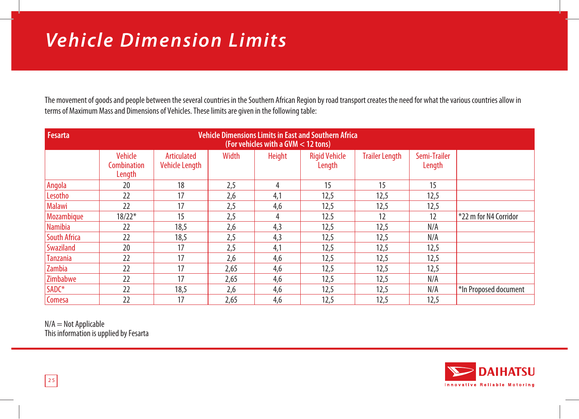# *Vehicle Dimension Limits*

The movement of goods and people between the several countries in the Southern African Region by road transport creates the need for what the various countries allow in terms of Maximum Mass and Dimensions of Vehicles. These limits are given in the following table:

| <b>Fesarta</b>      | <b>Vehicle Dimensions Limits in East and Southern Africa</b><br>(For vehicles with a GVM < 12 tons) |                                      |       |               |                                |                       |                        |                         |
|---------------------|-----------------------------------------------------------------------------------------------------|--------------------------------------|-------|---------------|--------------------------------|-----------------------|------------------------|-------------------------|
|                     | <b>Vehicle</b><br>Combination<br>Length                                                             | Articulated<br><b>Vehicle Length</b> | Width | <b>Height</b> | <b>Rigid Vehicle</b><br>Length | <b>Trailer Length</b> | Semi-Trailer<br>Length |                         |
| Angola              | 20                                                                                                  | 18                                   | 2,5   | 4             | 15                             | 15                    | 15                     |                         |
| Lesotho             | 22                                                                                                  | 17                                   | 2,6   | 4,1           | 12,5                           | 12,5                  | 12,5                   |                         |
| <b>Malawi</b>       | 22                                                                                                  | 17                                   | 2,5   | 4,6           | 12,5                           | 12,5                  | 12,5                   |                         |
| Mozambique          | $18/22*$                                                                                            | 15                                   | 2,5   |               | 12.5                           | 12                    | 12                     | $*22$ m for N4 Corridor |
| <b>Namibia</b>      | 22                                                                                                  | 18,5                                 | 2,6   | 4,3           | 12,5                           | 12,5                  | N/A                    |                         |
| <b>South Africa</b> | 22                                                                                                  | 18,5                                 | 2,5   | 4,3           | 12,5                           | 12,5                  | N/A                    |                         |
| <b>Swaziland</b>    | 20                                                                                                  | 17                                   | 2,5   | 4,1           | 12,5                           | 12,5                  | 12,5                   |                         |
| <b>Tanzania</b>     | 22                                                                                                  | 17                                   | 2,6   | 4,6           | 12,5                           | 12,5                  | 12,5                   |                         |
| Zambia              | 22                                                                                                  | 17                                   | 2,65  | 4,6           | 12,5                           | 12,5                  | 12,5                   |                         |
| Zimbabwe            | 22                                                                                                  | 17                                   | 2,65  | 4,6           | 12,5                           | 12,5                  | N/A                    |                         |
| SADC*               | 22                                                                                                  | 18,5                                 | 2,6   | 4,6           | 12,5                           | 12,5                  | N/A                    | *In Proposed document   |
| Comesa              | 22                                                                                                  | 17                                   | 2,65  | 4,6           | 12,5                           | 12,5                  | 12,5                   |                         |

 $N/A = Not$  Applicable This information is upplied by Fesarta

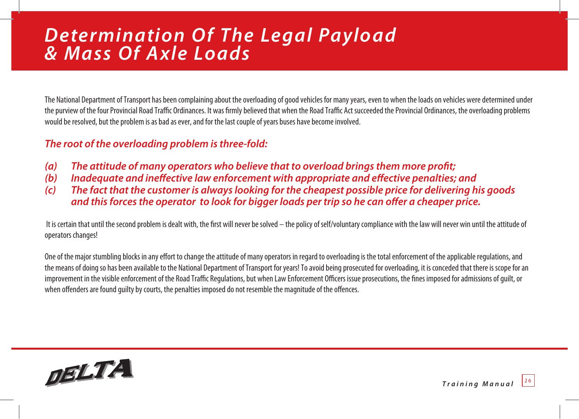### *Determination Of The Legal Payload & Mass Of Axle Loads*

The National Department of Transport has been complaining about the overloading of good vehicles for many years, even to when the loads on vehicles were determined under the purview of the four Provincial Road Traffic Ordinances. It was firmly believed that when the Road Traffic Act succeeded the Provincial Ordinances, the overloading problems would be resolved, but the problem is as bad as ever, and for the last couple of years buses have become involved.

### *The root of the overloading problem is three-fold:*

- *(a) The attitude of many operators who believe that to overload brings them more profi t;*
- (b) Inadequate and ineffective law enforcement with appropriate and effective penalties; and
- *(c) The fact that the customer is always looking for the cheapest possible price for delivering his goods and this forces the operator to look for bigger loads per trip so he can offer a cheaper price.*

It is certain that until the second problem is dealt with, the first will never be solved – the policy of self/voluntary compliance with the law will never win until the attitude of operators changes!

One of the major stumbling blocks in any effort to change the attitude of many operators in regard to overloading is the total enforcement of the applicable regulations, and the means of doing so has been available to the National Department of Transport for years! To avoid being prosecuted for overloading, it is conceded that there is scope for an improvement in the visible enforcement of the Road Traffic Regulations, but when Law Enforcement Officers issue prosecutions, the fines imposed for admissions of quilt, or when offenders are found quilty by courts, the penalties imposed do not resemble the magnitude of the offences.



*Training Manual* 2 6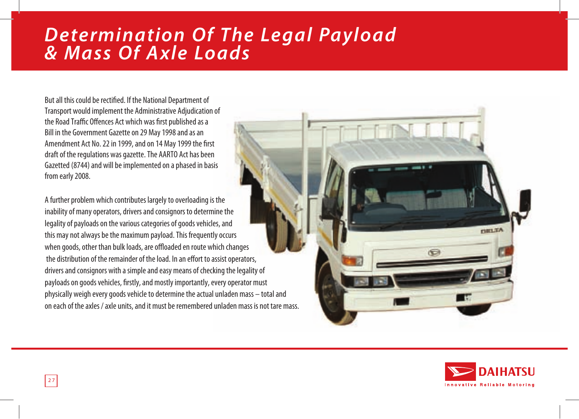### *Determination Of The Legal Payload & Mass Of Axle Loads*

But all this could be rectified. If the National Department of Transport would implement the Administrative Adjudication of the Road Traffic Offences Act which was first published as a Bill in the Government Gazette on 29 May 1998 and as an Amendment Act No. 22 in 1999, and on 14 May 1999 the first draft of the regulations was gazette. The AARTO Act has been Gazetted (8744) and will be implemented on a phased in basis from early 2008.

A further problem which contributes largely to overloading is the inability of many operators, drivers and consignors to determine the legality of payloads on the various categories of goods vehicles, and this may not always be the maximum payload. This frequently occurs when goods, other than bulk loads, are offloaded en route which changes the distribution of the remainder of the load. In an effort to assist operators, drivers and consignors with a simple and easy means of checking the legality of payloads on goods vehicles, firstly, and mostly importantly, every operator must physically weigh every goods vehicle to determine the actual unladen mass – total and on each of the axles / axle units, and it must be remembered unladen mass is not tare mass.



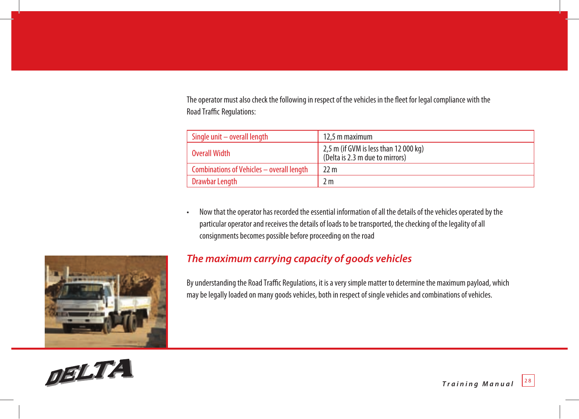The operator must also check the following in respect of the vehicles in the fleet for legal compliance with the Road Traffic Regulations:

| Single unit $-$ overall length            | 12.5 m maximum                                                           |
|-------------------------------------------|--------------------------------------------------------------------------|
| Overall Width                             | 2,5 m (if GVM is less than 12 000 kg)<br>(Delta is 2.3 m due to mirrors) |
| Combinations of Vehicles - overall length | 22 m                                                                     |
| Drawbar Length                            | 2 m                                                                      |

• Now that the operator has recorded the essential information of all the details of the vehicles operated by the particular operator and receives the details of loads to be transported, the checking of the legality of all consignments becomes possible before proceeding on the road



### *The maximum carrying capacity of goods vehicles*

By understanding the Road Traffic Regulations, it is a very simple matter to determine the maximum payload, which may be legally loaded on many goods vehicles, both in respect of single vehicles and combinations of vehicles.

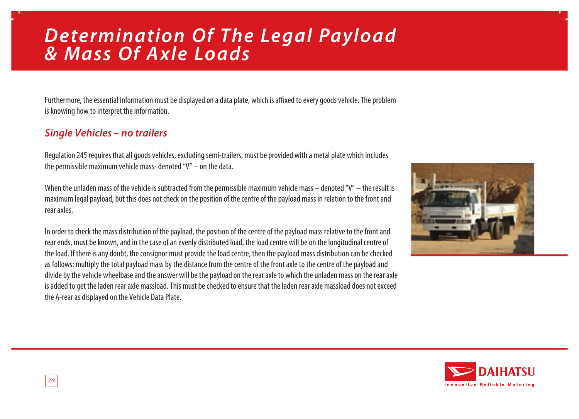### *Determination Of The Legal Payload & Mass Of Axle Loads*

Furthermore, the essential information must be displayed on a data plate, which is affixed to every goods vehicle. The problem is knowing how to interpret the information.

### *Single Vehicles – no trailers*

Regulation 245 requires that all goods vehicles, excluding semi-trailers, must be provided with a metal plate which includes the permissible maximum vehicle mass- denoted "V" – on the data.

When the unladen mass of the vehicle is subtracted from the permissible maximum vehicle mass – denoted "V" – the result is maximum legal payload, but this does not check on the position of the centre of the payload mass in relation to the front and rear axles.

In order to check the mass distribution of the payload, the position of the centre of the payload mass relative to the front and rear ends, must be known, and in the case of an evenly distributed load, the load centre will be on the longitudinal centre of the load. If there is any doubt, the consignor must provide the load centre, then the payload mass distribution can be checked as follows: multiply the total payload mass by the distance from the centre of the front axle to the centre of the payload and divide by the vehicle wheelbase and the answer will be the payload on the rear axle to which the unladen mass on the rear axle is added to get the laden rear axle massload. This must be checked to ensure that the laden rear axle massload does not exceed the A-rear as displayed on the Vehicle Data Plate.



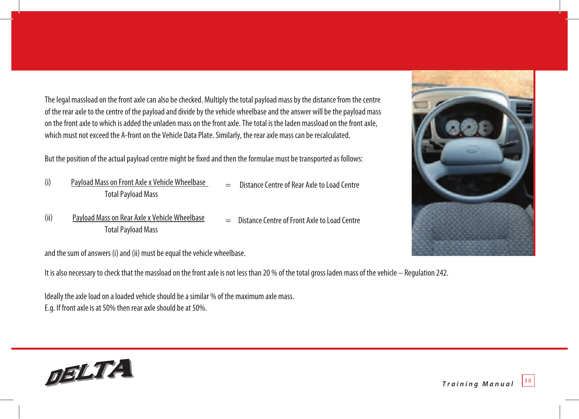The legal massload on the front axle can also be checked. Multiply the total payload mass by the distance from the centre of the rear axle to the centre of the payload and divide by the vehicle wheelbase and the answer will be the payload mass on the front axle to which is added the unladen mass on the front axle. The total is the laden massload on the front axle, which must not exceed the A-front on the Vehicle Data Plate. Similarly, the rear axle mass can be recalculated.

But the position of the actual payload centre might be fixed and then the formulae must be transported as follows:

- (i) Payload Mass on Front Axle x Vehicle Wheelbase Total Payload Mass
- Distance Centre of Rear Axle to Load Centre
- (ii) Payload Mass on Rear Axle x Vehicle Wheelbase Total Payload Mass = Distance Centre of Front Axle to Load Centre

and the sum of answers (i) and (ii) must be equal the vehicle wheelbase.

It is also necessary to check that the massload on the front axle is not less than 20 % of the total gross laden mass of the vehicle – Regulation 242.

Ideally the axle load on a loaded vehicle should be a similar % of the maximum axle mass. E.g. If front axle is at 50% then rear axle should be at 50%.



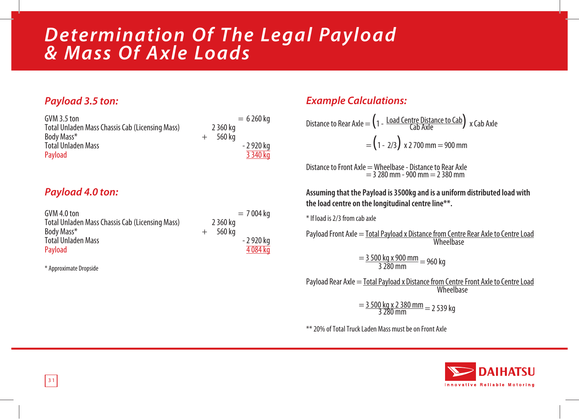### *Determination Of The Legal Payload & Mass Of Axle Loads*

### *Payload 3.5 ton:*

| GVM 3.5 ton                                     | $= 6260$ ka      |
|-------------------------------------------------|------------------|
| Total Unladen Mass Chassis Cab (Licensing Mass) | 2 360 ka         |
| Body Mass*                                      | 560 ka<br>$^{+}$ |
| <b>Total Unladen Mass</b>                       | - 2 920 kg       |
| Payload                                         | 3 3 4 0 kg       |

### *Payload 4.0 ton:*

| GVM 4.0 ton                                     | $= 7004$ ka      |
|-------------------------------------------------|------------------|
| Total Unladen Mass Chassis Cab (Licensing Mass) | 2 360 kg         |
| Body Mass*                                      | 560 ka<br>$^{+}$ |
| <b>Total Unladen Mass</b>                       | - 2 920 kg       |
| Payload                                         | 4 084 kg         |

\* Approximate Dropside

### *Example Calculations:*

Distance to Rear Axle = 
$$
\left(1 - \frac{\text{Load Centre Distance to Cab}}{\text{Cab Axle}}\right) \times \text{Cab Axle}
$$
  
=  $\left(1 - 2/3\right) \times 2700 \text{ mm} = 900 \text{ mm}$ 

Distance to Front Axle = Wheelbase - Distance to Rear Axle  $= 3 280$  mm - 900 mm  $= 2 380$  mm

**Assuming that the Payload is 3500kg and is a uniform distributed load with the load centre on the longitudinal centre line\*\*.**

\* If load is 2/3 from cab axle

Payload Front Axle = Total Payload x Distance from Centre Rear Axle to Centre Load **Wheelbase** 

 $=\frac{3500 \text{ kg} \times 900 \text{ mm}}{3.280 \text{ mm}} = 960 \text{ kg}$ 

Payload Rear Axle = Total Payload x Distance from Centre Front Axle to Centre Load Wheelbase

 $=\frac{3500 \text{ kg} \times 2380 \text{ mm}}{3280 \text{ mm}} = 2539 \text{ kg}$ 

\*\* 20% of Total Truck Laden Mass must be on Front Axle

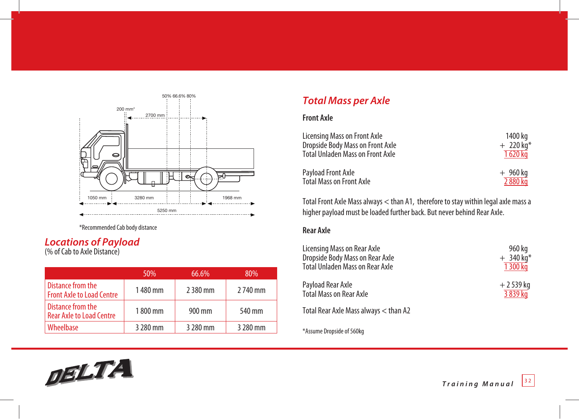

\*Recommended Cab body distance

### *Locations of Payload*

(% of Cab to Axle Distance)

|                                                       | 50%      | 66.6%      | 80%      |
|-------------------------------------------------------|----------|------------|----------|
| Distance from the<br><b>Front Axle to Load Centre</b> | 1480 mm  | 2 3 8 0 mm | 2 740 mm |
| Distance from the<br><b>Rear Axle to Load Centre</b>  | 1800 mm  | 900 mm     | 540 mm   |
| Wheelbase                                             | 3 280 mm | 3 280 mm   | 3 280 mm |

### *Total Mass per Axle*

#### **Front Axle**

| Licensing Mass on Front Axle            | 1400 ka                 |
|-----------------------------------------|-------------------------|
| Dropside Body Mass on Front Axle        | $+ 220$ kg <sup>*</sup> |
| <b>Total Unladen Mass on Front Axle</b> | 1 620 kg                |
| Payload Front Axle                      | $+960$ kg               |
| <b>Total Mass on Front Axle</b>         | 2 880 kg                |

Total Front Axle Mass always < than A1, therefore to stay within legal axle mass a higher payload must be loaded further back. But never behind Rear Axle.

#### **Rear Axle**

| Licensing Mass on Rear Axle           | 960 kg                 |
|---------------------------------------|------------------------|
| Dropside Body Mass on Rear Axle       | $+340$ kg <sup>*</sup> |
| Total Unladen Mass on Rear Axle       | 1 300 kg               |
| Payload Rear Axle                     | $+2539$ kg             |
| <b>Total Mass on Rear Axle</b>        | 3 839 kg               |
| Total Rear Axle Mass always < than A2 |                        |
|                                       |                        |

\*Assume Dropside of 560kg